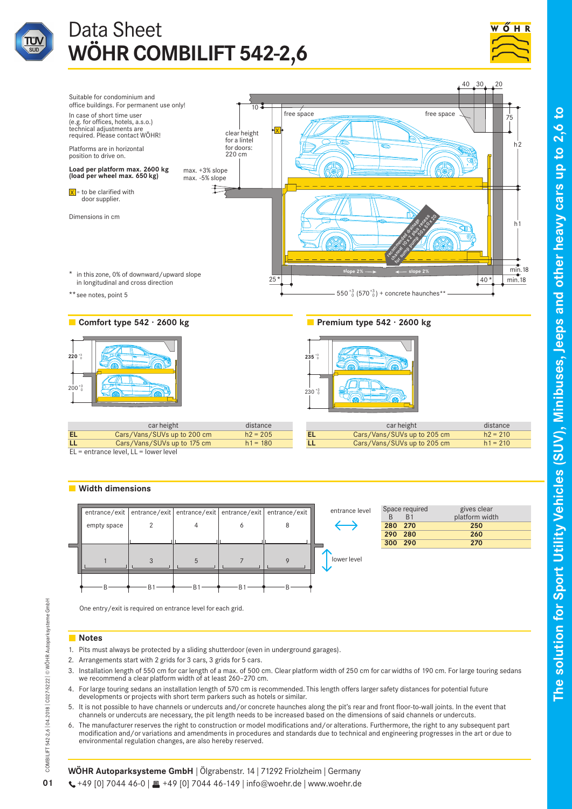

# Data Sheet **WÖHR COMBILIFT 542-2,6**



**to**





 $EL =$  entrance level,  $LL =$  lower level

# **Width dimensions**



|         | Space required<br>R <sub>1</sub> | gives clear<br>platform width |  |  |  |
|---------|----------------------------------|-------------------------------|--|--|--|
| 280 270 |                                  | 250                           |  |  |  |
| 290 280 |                                  | 260                           |  |  |  |
| 300 290 |                                  | 270                           |  |  |  |
|         |                                  |                               |  |  |  |

One entry/exit is required on entrance level for each grid.

# **Notes**

- 1. Pits must always be protected by a sliding shutterdoor (even in underground garages).
- 2. Arrangements start with 2 grids for 3 cars, 3 grids for 5 cars.
- 3. Installation length of 550 cm for car length of a max. of 500 cm. Clear platform width of 250 cm for car widths of 190 cm. For large touring sedans we recommend a clear platform width of at least 260–270 cm.
- 4. For large touring sedans an installation length of 570 cm is recommended. This length offers larger safety distances for potential future developments or projects with short term parkers such as hotels or similar.
- 5. It is not possible to have channels or undercuts and/or concrete haunches along the pit's rear and front floor-to-wall joints. In the event that channels or undercuts are necessary, the pit length needs to be increased based on the dimensions of said channels or undercuts.
- 6. The manufacturer reserves the right to construction or model modifications and/or alterations. Furthermore, the right to any subsequent part modification and/or variations and amendments in procedures and standards due to technical and engineering progresses in the art or due to environmental regulation changes, are also hereby reserved.

COMBILIFT 542-2,6 | 04.2018 | C027-5222 | © WÖHR Autoparksysteme GmbH

COMBILIFT 542-2,6 | 04.2018 | C027-5222 | @ WÖHR Autoparksysteme GmbH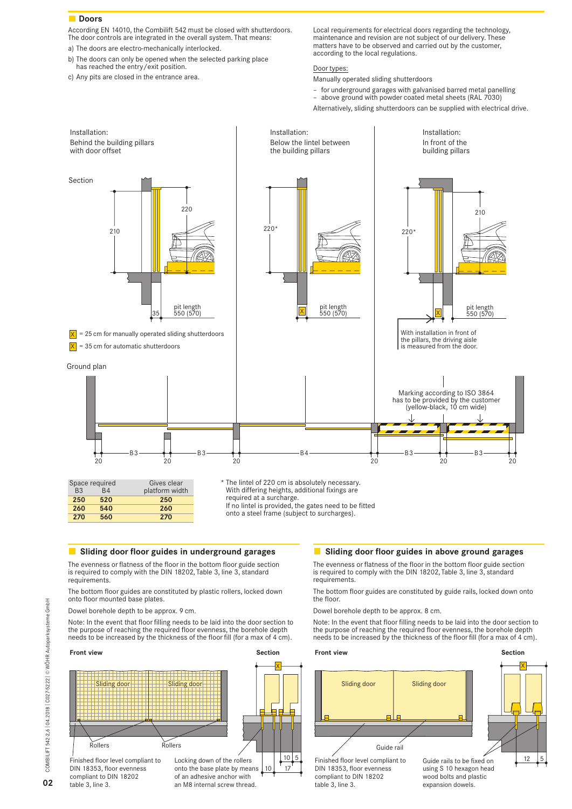# **Doors**

According EN 14010, the Combilift 542 must be closed with shutterdoors. The door controls are integrated in the overall system. That means:

- a) The doors are electro-mechanically interlocked.
- b) The doors can only be opened when the selected parking place has reached the entry/exit position.
- c) Any pits are closed in the entrance area.

Local requirements for electrical doors regarding the technology, maintenance and revision are not subject of our delivery. These matters have to be observed and carried out by the customer, according to the local regulations.

# Door types:

Manually operated sliding shutterdoors

- for underground garages with galvanised barred metal panelling
- above ground with powder coated metal sheets (RAL 7030) Alternatively, sliding shutterdoors can be supplied with electrical drive.



**Sliding door floor guides in underground garages**

The evenness or flatness of the floor in the bottom floor guide section is required to comply with the DIN 18202, Table 3, line 3, standard requirements.

The bottom floor guides are constituted by plastic rollers, locked down onto floor mounted base plates.

Dowel borehole depth to be approx. 9 cm.

Note: In the event that floor filling needs to be laid into the door section to the purpose of reaching the required floor evenness, the borehole depth needs to be increased by the thickness of the floor fill (for a max of 4 cm).



# **Sliding door floor guides in above ground garages**

The evenness or flatness of the floor in the bottom floor guide section is required to comply with the DIN 18202, Table 3, line 3, standard requirements.

The bottom floor guides are constituted by guide rails, locked down onto the floor.

Dowel borehole depth to be approx. 8 cm.

Note: In the event that floor filling needs to be laid into the door section to the purpose of reaching the required floor evenness, the borehole depth needs to be increased by the thickness of the floor fill (for a max of 4 cm).

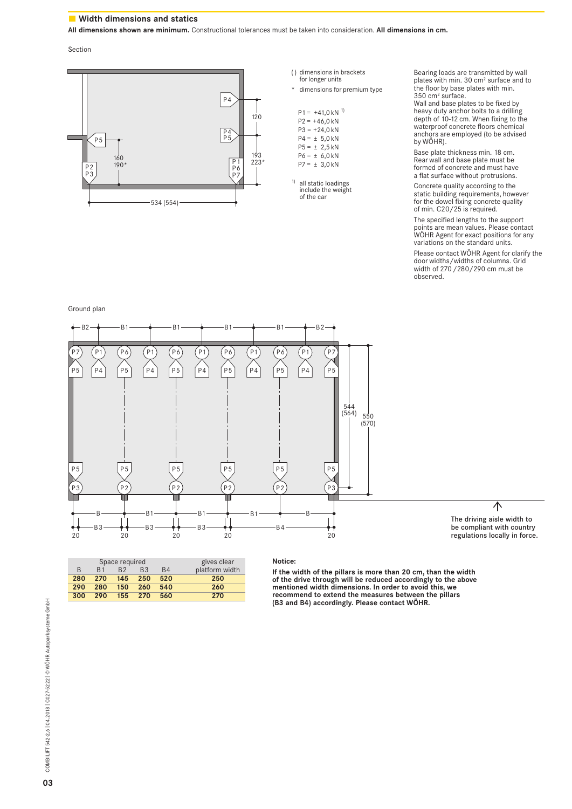# **Width dimensions and statics**

**All dimensions shown are minimum.** Constructional tolerances must be taken into consideration. **All dimensions in cm.**

Section



| () dimensions in brackets |  |  |  |  |  |  |
|---------------------------|--|--|--|--|--|--|
| for longer units          |  |  |  |  |  |  |

\* dimensions for premium type

 $P1 = +41,0 kN^{1}$  $P2 = +46,0 kN$  $P3 = +24,0 kN$  $P4 = \pm 5,0$  kN  $P5 = \pm 2,5$  kN  $P6 = \pm 6,0$  kN  $P7 = \pm 3,0$  kN

1) all static loadings include the weight of the car Bearing loads are transmitted by wall plates with min. 30 cm2 surface and to the floor by base plates with min. 350 cm2 surface.

Wall and base plates to be fixed by heavy duty anchor bolts to a drilling depth of 10-12 cm. When fixing to the waterproof concrete floors chemical anchors are employed (to be advised by WÖHR).

Base plate thickness min. 18 cm. Rear wall and base plate must be formed of concrete and must have a flat surface without protrusions.

Concrete quality according to the static building requirements, however for the dowel fixing concrete quality of min. C20/25 is required.

The specified lengths to the support points are mean values. Please contact WÖHR Agent for exact positions for any variations on the standard units.

Please contact WÖHR Agent for clarify the door widths/widths of columns. Grid width of 270/280/290 cm must be observed.

Ground plan



|              | Space required | gives clear    |                |                |                |
|--------------|----------------|----------------|----------------|----------------|----------------|
| <sub>R</sub> | R <sub>1</sub> | R <sub>2</sub> | B <sub>3</sub> | B <sub>4</sub> | platform width |
| 280          | 270            | 145            | 250            | 520            | 250            |
| 290          | 280            | 150            | 260            | 540            | 260            |
| 300          | 290            | $155 -$        | 270            | 560            | 270            |
|              |                |                |                |                |                |

#### **Notice:**

**If the width of the pillars is more than 20 cm, than the width of the drive through will be reduced accordingly to the above mentioned width dimensions. In order to avoid this, we recommend to extend the measures between the pillars (B3 and B4) accordingly. Please contact WÖHR.**